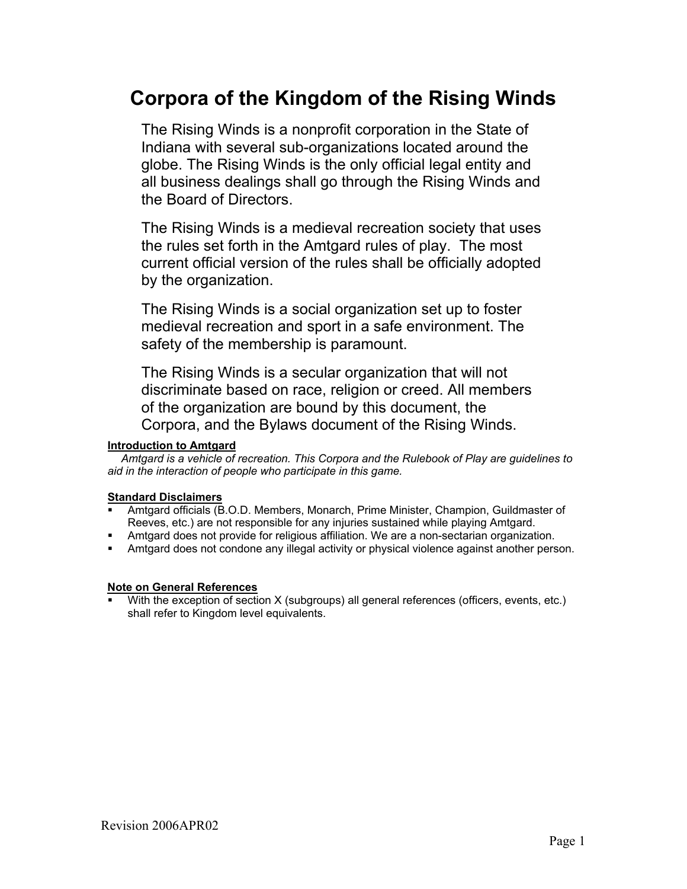# **Corpora of the Kingdom of the Rising Winds**

The Rising Winds is a nonprofit corporation in the State of Indiana with several sub-organizations located around the globe. The Rising Winds is the only official legal entity and all business dealings shall go through the Rising Winds and the Board of Directors.

The Rising Winds is a medieval recreation society that uses the rules set forth in the Amtgard rules of play. The most current official version of the rules shall be officially adopted by the organization.

The Rising Winds is a social organization set up to foster medieval recreation and sport in a safe environment. The safety of the membership is paramount.

The Rising Winds is a secular organization that will not discriminate based on race, religion or creed. All members of the organization are bound by this document, the Corpora, and the Bylaws document of the Rising Winds.

#### **Introduction to Amtgard**

 *Amtgard is a vehicle of recreation. This Corpora and the Rulebook of Play are guidelines to aid in the interaction of people who participate in this game.* 

## **Standard Disclaimers**

- Amtgard officials (B.O.D. Members, Monarch, Prime Minister, Champion, Guildmaster of Reeves, etc.) are not responsible for any injuries sustained while playing Amtgard.
- Amtgard does not provide for religious affiliation. We are a non-sectarian organization.
- Amtgard does not condone any illegal activity or physical violence against another person.

#### **Note on General References**

With the exception of section X (subgroups) all general references (officers, events, etc.) shall refer to Kingdom level equivalents.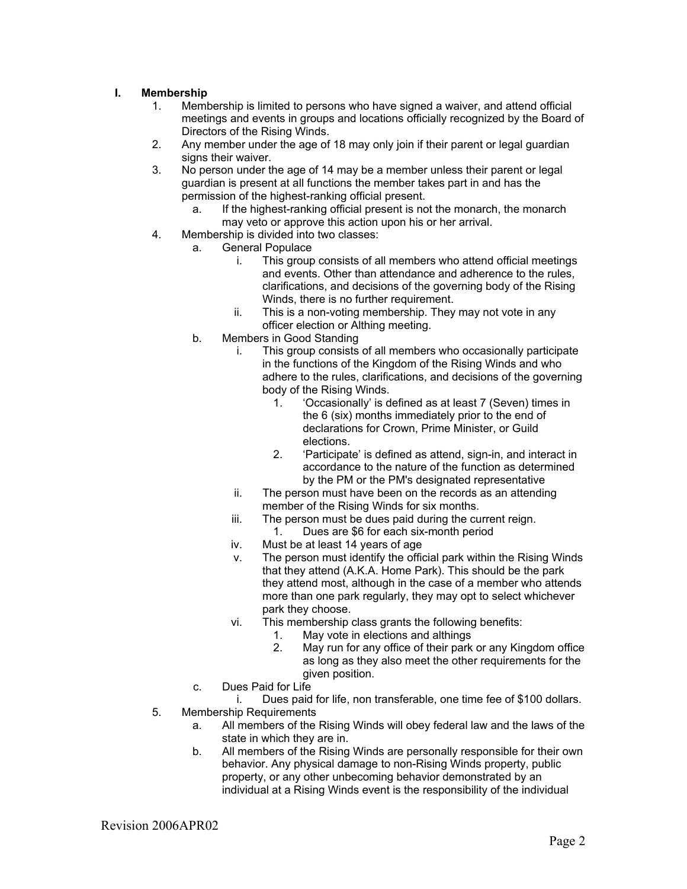## **I. Membership**

- 1. Membership is limited to persons who have signed a waiver, and attend official meetings and events in groups and locations officially recognized by the Board of Directors of the Rising Winds.
- 2. Any member under the age of 18 may only join if their parent or legal guardian signs their waiver.
- 3. No person under the age of 14 may be a member unless their parent or legal guardian is present at all functions the member takes part in and has the permission of the highest-ranking official present.
	- a. If the highest-ranking official present is not the monarch, the monarch may veto or approve this action upon his or her arrival.
- 4. Membership is divided into two classes:
	- a. General Populace
		- i. This group consists of all members who attend official meetings and events. Other than attendance and adherence to the rules, clarifications, and decisions of the governing body of the Rising Winds, there is no further requirement.
		- ii. This is a non-voting membership. They may not vote in any officer election or Althing meeting.
		- b. Members in Good Standing
			- i. This group consists of all members who occasionally participate in the functions of the Kingdom of the Rising Winds and who adhere to the rules, clarifications, and decisions of the governing body of the Rising Winds.
				- 1. 'Occasionally' is defined as at least 7 (Seven) times in the 6 (six) months immediately prior to the end of declarations for Crown, Prime Minister, or Guild elections.
				- 2. 'Participate' is defined as attend, sign-in, and interact in accordance to the nature of the function as determined by the PM or the PM's designated representative
			- ii. The person must have been on the records as an attending member of the Rising Winds for six months.
			- iii. The person must be dues paid during the current reign. 1. Dues are \$6 for each six-month period
			- iv. Must be at least 14 years of age
			- v. The person must identify the official park within the Rising Winds that they attend (A.K.A. Home Park). This should be the park they attend most, although in the case of a member who attends more than one park regularly, they may opt to select whichever park they choose.
			- vi. This membership class grants the following benefits:
				- 1. May vote in elections and althings
				- 2. May run for any office of their park or any Kingdom office as long as they also meet the other requirements for the given position.
		- c. Dues Paid for Life

i. Dues paid for life, non transferable, one time fee of \$100 dollars. 5. Membership Requirements

- a. All members of the Rising Winds will obey federal law and the laws of the state in which they are in.
- b. All members of the Rising Winds are personally responsible for their own behavior. Any physical damage to non-Rising Winds property, public property, or any other unbecoming behavior demonstrated by an individual at a Rising Winds event is the responsibility of the individual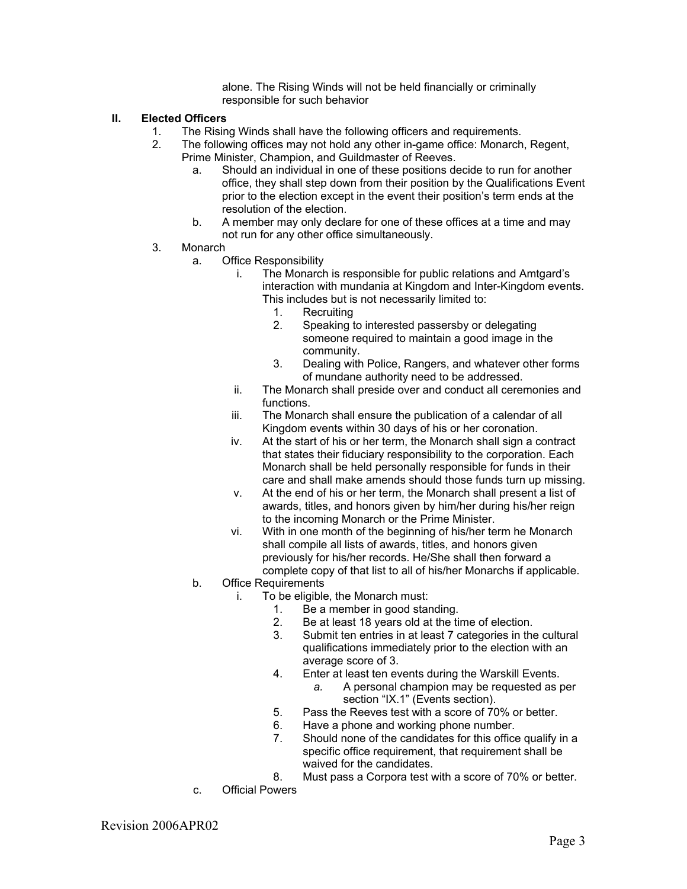alone. The Rising Winds will not be held financially or criminally responsible for such behavior

## **II. Elected Officers**

- 
- 1. The Rising Winds shall have the following officers and requirements.<br>2. The following offices may not hold any other in-game office: Monarch The following offices may not hold any other in-game office: Monarch, Regent, Prime Minister, Champion, and Guildmaster of Reeves.
	- a. Should an individual in one of these positions decide to run for another office, they shall step down from their position by the Qualifications Event prior to the election except in the event their position's term ends at the resolution of the election.
	- b. A member may only declare for one of these offices at a time and may not run for any other office simultaneously.
- 3. Monarch
	- a. Office Responsibility
		- i. The Monarch is responsible for public relations and Amtgard's interaction with mundania at Kingdom and Inter-Kingdom events. This includes but is not necessarily limited to:
			- 1. Recruiting
			- 2. Speaking to interested passersby or delegating someone required to maintain a good image in the community.
			- 3. Dealing with Police, Rangers, and whatever other forms of mundane authority need to be addressed.
		- ii. The Monarch shall preside over and conduct all ceremonies and functions.
		- iii. The Monarch shall ensure the publication of a calendar of all Kingdom events within 30 days of his or her coronation.
		- iv. At the start of his or her term, the Monarch shall sign a contract that states their fiduciary responsibility to the corporation. Each Monarch shall be held personally responsible for funds in their care and shall make amends should those funds turn up missing.
		- v. At the end of his or her term, the Monarch shall present a list of awards, titles, and honors given by him/her during his/her reign to the incoming Monarch or the Prime Minister.
		- vi. With in one month of the beginning of his/her term he Monarch shall compile all lists of awards, titles, and honors given previously for his/her records. He/She shall then forward a complete copy of that list to all of his/her Monarchs if applicable.
	- b. Office Requirements
		- i. To be eligible, the Monarch must:<br>1. Be a member in good star
			- Be a member in good standing.
			- 2. Be at least 18 years old at the time of election.
			- 3. Submit ten entries in at least 7 categories in the cultural qualifications immediately prior to the election with an average score of 3.
			- 4. Enter at least ten events during the Warskill Events.
				- *a.* A personal champion may be requested as per section "IX.1" (Events section).
			- 5. Pass the Reeves test with a score of 70% or better.
			- 6. Have a phone and working phone number.
			- 7. Should none of the candidates for this office qualify in a specific office requirement, that requirement shall be waived for the candidates.
			- 8. Must pass a Corpora test with a score of 70% or better.
	- c. Official Powers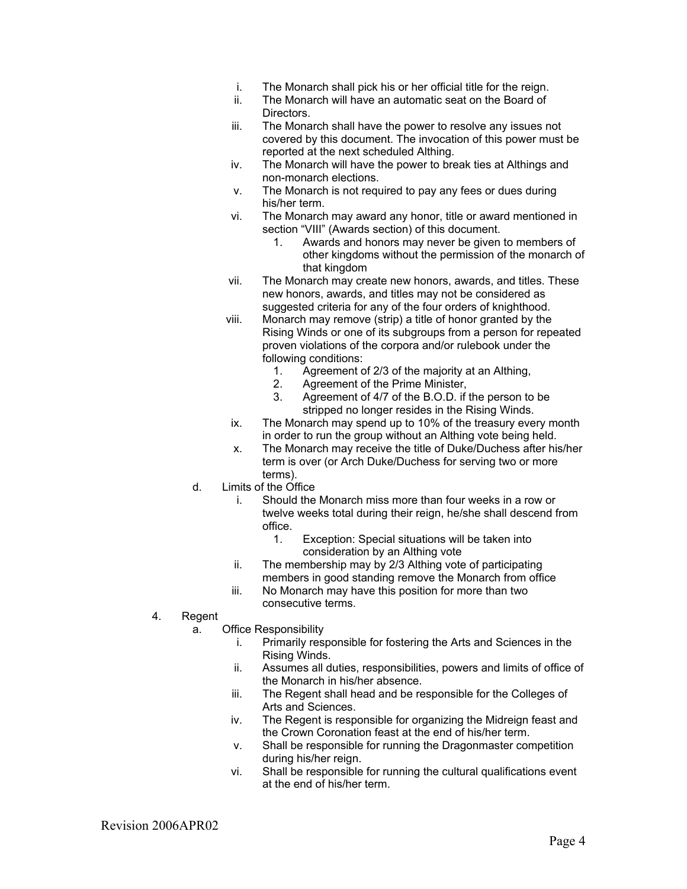- i. The Monarch shall pick his or her official title for the reign.
- ii. The Monarch will have an automatic seat on the Board of Directors.
- iii. The Monarch shall have the power to resolve any issues not covered by this document. The invocation of this power must be reported at the next scheduled Althing.
- iv. The Monarch will have the power to break ties at Althings and non-monarch elections.
- v. The Monarch is not required to pay any fees or dues during his/her term.
- vi. The Monarch may award any honor, title or award mentioned in section "VIII" (Awards section) of this document.
	- 1. Awards and honors may never be given to members of other kingdoms without the permission of the monarch of that kingdom
- vii. The Monarch may create new honors, awards, and titles. These new honors, awards, and titles may not be considered as suggested criteria for any of the four orders of knighthood.
- viii. Monarch may remove (strip) a title of honor granted by the Rising Winds or one of its subgroups from a person for repeated proven violations of the corpora and/or rulebook under the following conditions:
	- 1. Agreement of 2/3 of the majority at an Althing,<br>2. Agreement of the Prime Minister,
	- 2. Agreement of the Prime Minister,<br>3. Agreement of 4/7 of the B.O.D. if
	- Agreement of 4/7 of the B.O.D. if the person to be stripped no longer resides in the Rising Winds.
- ix. The Monarch may spend up to 10% of the treasury every month in order to run the group without an Althing vote being held.
- x. The Monarch may receive the title of Duke/Duchess after his/her term is over (or Arch Duke/Duchess for serving two or more terms).
- d. Limits of the Office
	- i. Should the Monarch miss more than four weeks in a row or twelve weeks total during their reign, he/she shall descend from office.
		- 1. Exception: Special situations will be taken into consideration by an Althing vote
	- ii. The membership may by 2/3 Althing vote of participating members in good standing remove the Monarch from office
	- iii. No Monarch may have this position for more than two consecutive terms.
- 4. Regent
	- a. Office Responsibility
		- i. Primarily responsible for fostering the Arts and Sciences in the Rising Winds.
		- ii. Assumes all duties, responsibilities, powers and limits of office of the Monarch in his/her absence.
		- iii. The Regent shall head and be responsible for the Colleges of Arts and Sciences.
		- iv. The Regent is responsible for organizing the Midreign feast and the Crown Coronation feast at the end of his/her term.
		- v. Shall be responsible for running the Dragonmaster competition during his/her reign.
		- vi. Shall be responsible for running the cultural qualifications event at the end of his/her term.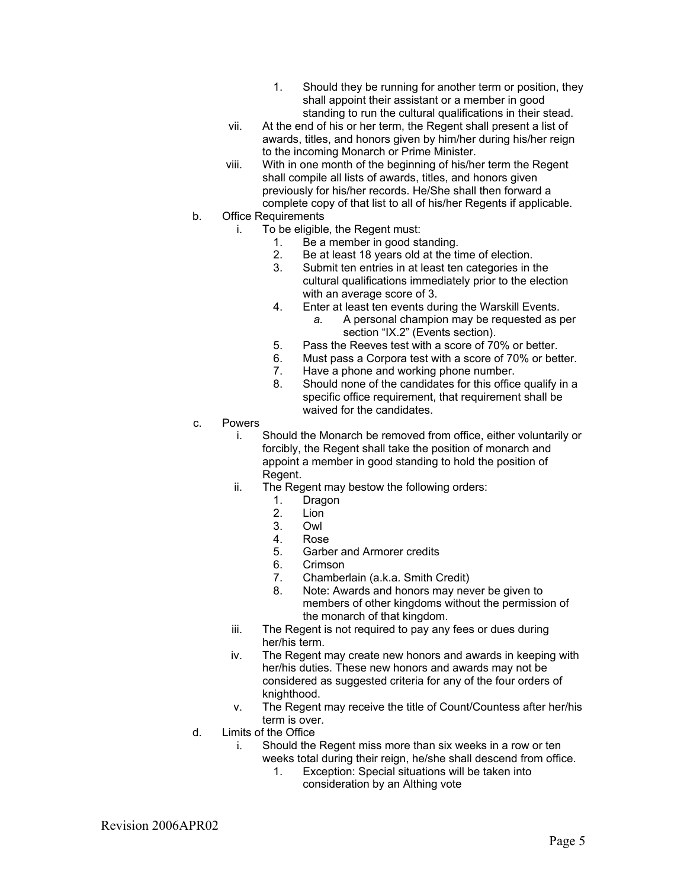- 1. Should they be running for another term or position, they shall appoint their assistant or a member in good standing to run the cultural qualifications in their stead.
- vii. At the end of his or her term, the Regent shall present a list of awards, titles, and honors given by him/her during his/her reign to the incoming Monarch or Prime Minister.
- viii. With in one month of the beginning of his/her term the Regent shall compile all lists of awards, titles, and honors given previously for his/her records. He/She shall then forward a complete copy of that list to all of his/her Regents if applicable.
- b. Office Requirements
	- i. To be eligible, the Regent must:
		- 1. Be a member in good standing.
		- 2. Be at least 18 years old at the time of election.
		- 3. Submit ten entries in at least ten categories in the cultural qualifications immediately prior to the election with an average score of 3.
		- 4. Enter at least ten events during the Warskill Events.
			- *a.* A personal champion may be requested as per section "IX.2" (Events section).
		- 5. Pass the Reeves test with a score of 70% or better.
		- 6. Must pass a Corpora test with a score of 70% or better.
		- 7. Have a phone and working phone number.
		- 8. Should none of the candidates for this office qualify in a specific office requirement, that requirement shall be waived for the candidates.
- c. Powers
	- i. Should the Monarch be removed from office, either voluntarily or forcibly, the Regent shall take the position of monarch and appoint a member in good standing to hold the position of Regent.
	- ii. The Regent may bestow the following orders:
		- 1. Dragon
		- 2. Lion
		- 3. Owl
		- 4. Rose
		- 5. Garber and Armorer credits
		- 6. Crimson
		- 7. Chamberlain (a.k.a. Smith Credit)
		- 8. Note: Awards and honors may never be given to members of other kingdoms without the permission of the monarch of that kingdom.
	- iii. The Regent is not required to pay any fees or dues during her/his term.
	- iv. The Regent may create new honors and awards in keeping with her/his duties. These new honors and awards may not be considered as suggested criteria for any of the four orders of knighthood.
	- v. The Regent may receive the title of Count/Countess after her/his term is over.
- d. Limits of the Office
	- i. Should the Regent miss more than six weeks in a row or ten weeks total during their reign, he/she shall descend from office.
		- 1. Exception: Special situations will be taken into consideration by an Althing vote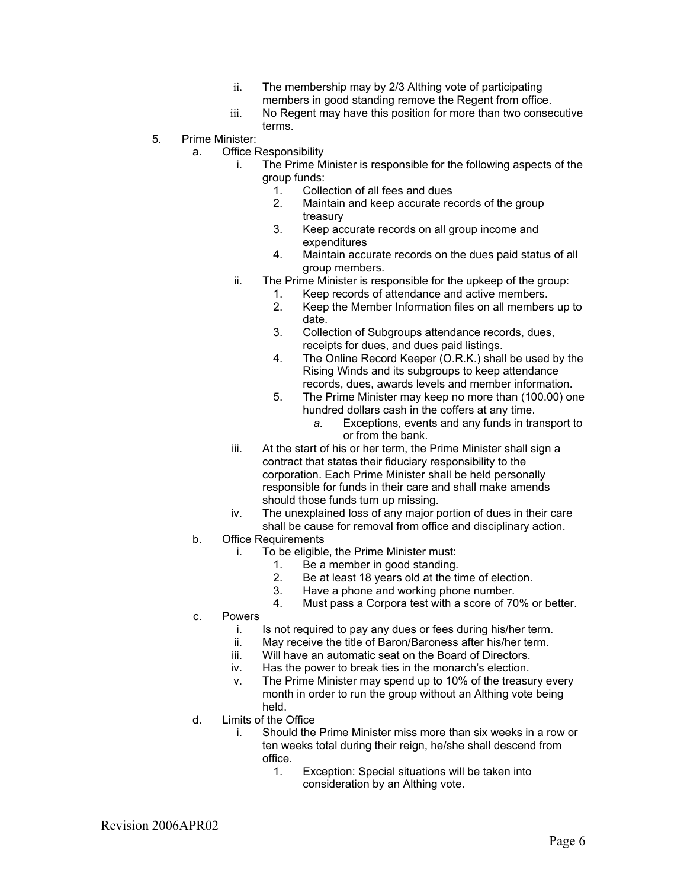- ii. The membership may by 2/3 Althing vote of participating members in good standing remove the Regent from office.
- iii. No Regent may have this position for more than two consecutive terms.
- 5. Prime Minister:
	- a. Office Responsibility
		- i. The Prime Minister is responsible for the following aspects of the group funds:
			- 1. Collection of all fees and dues<br>2. Maintain and keep accurate re
			- Maintain and keep accurate records of the group treasury
			- 3. Keep accurate records on all group income and expenditures
			- 4. Maintain accurate records on the dues paid status of all group members.
		- ii. The Prime Minister is responsible for the upkeep of the group:
			- 1. Keep records of attendance and active members.
			- 2. Keep the Member Information files on all members up to date.
			- 3. Collection of Subgroups attendance records, dues, receipts for dues, and dues paid listings.
			- 4. The Online Record Keeper (O.R.K.) shall be used by the Rising Winds and its subgroups to keep attendance records, dues, awards levels and member information.
			- 5. The Prime Minister may keep no more than (100.00) one hundred dollars cash in the coffers at any time.
				- *a.* Exceptions, events and any funds in transport to or from the bank.
		- iii. At the start of his or her term, the Prime Minister shall sign a contract that states their fiduciary responsibility to the corporation. Each Prime Minister shall be held personally responsible for funds in their care and shall make amends should those funds turn up missing.
		- iv. The unexplained loss of any major portion of dues in their care shall be cause for removal from office and disciplinary action.
	- b. Office Requirements
		- i. To be eligible, the Prime Minister must:
			- 1. Be a member in good standing.
			- 2. Be at least 18 years old at the time of election.
			- 3. Have a phone and working phone number.
			- 4. Must pass a Corpora test with a score of 70% or better.
	- c. Powers
		- i. Is not required to pay any dues or fees during his/her term.
		- ii. May receive the title of Baron/Baroness after his/her term.
		- iii. Will have an automatic seat on the Board of Directors.
		- iv. Has the power to break ties in the monarch's election.
		- v. The Prime Minister may spend up to 10% of the treasury every month in order to run the group without an Althing vote being held.
	- d. Limits of the Office
		- i. Should the Prime Minister miss more than six weeks in a row or ten weeks total during their reign, he/she shall descend from office.
			- 1. Exception: Special situations will be taken into consideration by an Althing vote.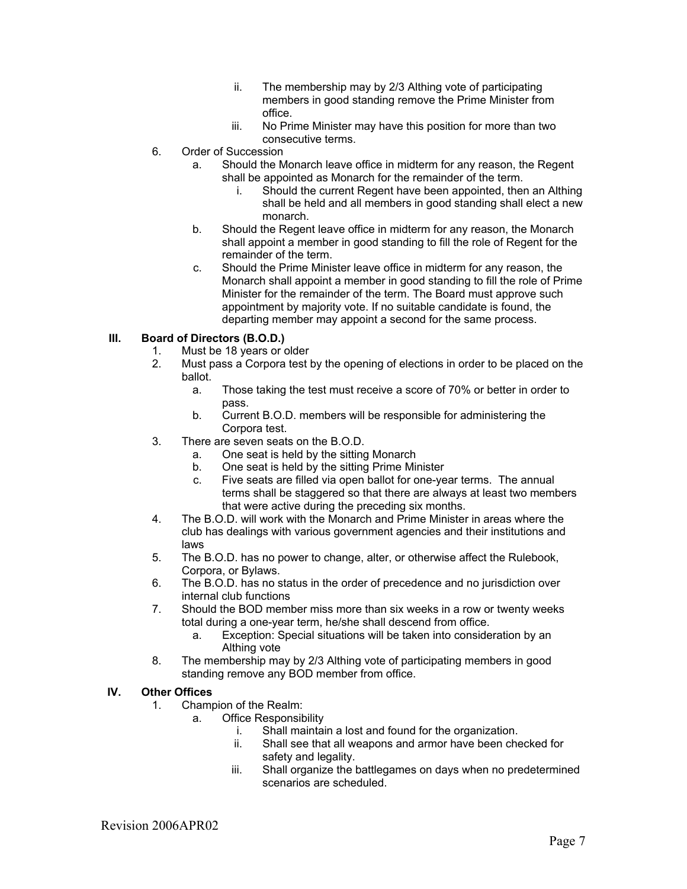- ii. The membership may by 2/3 Althing vote of participating members in good standing remove the Prime Minister from office.
- iii. No Prime Minister may have this position for more than two consecutive terms.
- 6. Order of Succession
	- a. Should the Monarch leave office in midterm for any reason, the Regent shall be appointed as Monarch for the remainder of the term.
		- i. Should the current Regent have been appointed, then an Althing shall be held and all members in good standing shall elect a new monarch.
	- b. Should the Regent leave office in midterm for any reason, the Monarch shall appoint a member in good standing to fill the role of Regent for the remainder of the term.
	- c. Should the Prime Minister leave office in midterm for any reason, the Monarch shall appoint a member in good standing to fill the role of Prime Minister for the remainder of the term. The Board must approve such appointment by majority vote. If no suitable candidate is found, the departing member may appoint a second for the same process.

# **III. Board of Directors (B.O.D.)**

- 1. Must be 18 years or older<br>2. Must pass a Corpora test
	- 2. Must pass a Corpora test by the opening of elections in order to be placed on the ballot.
		- a. Those taking the test must receive a score of 70% or better in order to pass.
		- b. Current B.O.D. members will be responsible for administering the Corpora test.
- 3. There are seven seats on the B.O.D.
	- a. One seat is held by the sitting Monarch
	- b. One seat is held by the sitting Prime Minister
	- c. Five seats are filled via open ballot for one-year terms. The annual terms shall be staggered so that there are always at least two members that were active during the preceding six months.
- 4. The B.O.D. will work with the Monarch and Prime Minister in areas where the club has dealings with various government agencies and their institutions and laws
- 5. The B.O.D. has no power to change, alter, or otherwise affect the Rulebook, Corpora, or Bylaws.
- 6. The B.O.D. has no status in the order of precedence and no jurisdiction over internal club functions
- 7. Should the BOD member miss more than six weeks in a row or twenty weeks total during a one-year term, he/she shall descend from office.
	- a. Exception: Special situations will be taken into consideration by an Althing vote
- 8. The membership may by 2/3 Althing vote of participating members in good standing remove any BOD member from office.

## **IV. Other Offices**

- 1. Champion of the Realm:
	- a. Office Responsibility
		- i. Shall maintain a lost and found for the organization.
		- ii. Shall see that all weapons and armor have been checked for safety and legality.
		- iii. Shall organize the battlegames on days when no predetermined scenarios are scheduled.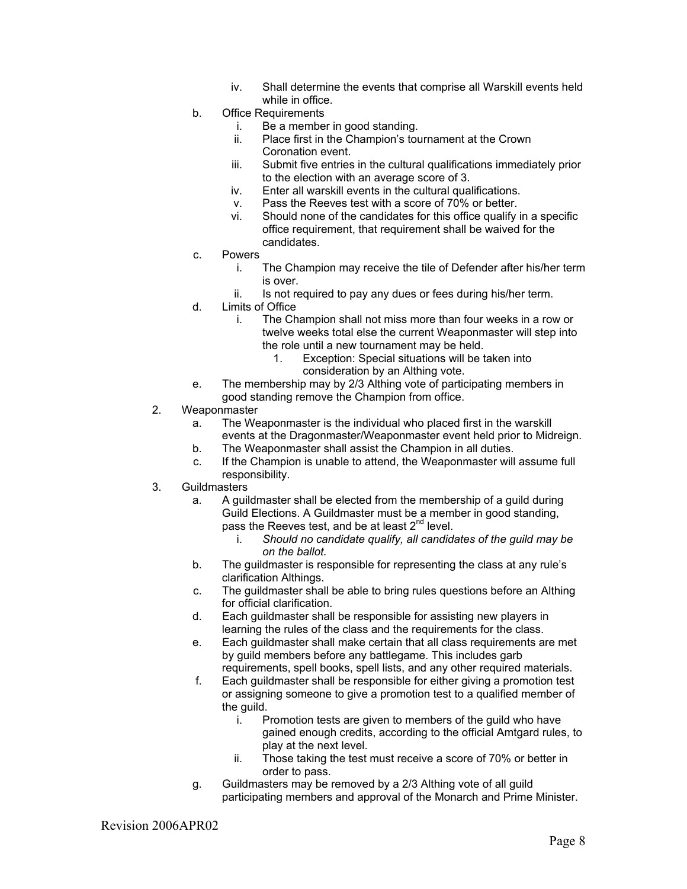- iv. Shall determine the events that comprise all Warskill events held while in office.
- b. Office Requirements
	- i. Be a member in good standing.
	- ii. Place first in the Champion's tournament at the Crown Coronation event.
	- iii. Submit five entries in the cultural qualifications immediately prior to the election with an average score of 3.
	- iv. Enter all warskill events in the cultural qualifications.
	- v. Pass the Reeves test with a score of 70% or better.
	- vi. Should none of the candidates for this office qualify in a specific office requirement, that requirement shall be waived for the candidates.
- c. Powers
	- i. The Champion may receive the tile of Defender after his/her term is over.
	- ii. Is not required to pay any dues or fees during his/her term.
- d. Limits of Office
	- i. The Champion shall not miss more than four weeks in a row or twelve weeks total else the current Weaponmaster will step into the role until a new tournament may be held.
		- 1. Exception: Special situations will be taken into consideration by an Althing vote.
- e. The membership may by 2/3 Althing vote of participating members in good standing remove the Champion from office.
- 2. Weaponmaster
	- a. The Weaponmaster is the individual who placed first in the warskill events at the Dragonmaster/Weaponmaster event held prior to Midreign.
	- b. The Weaponmaster shall assist the Champion in all duties.
	- c. If the Champion is unable to attend, the Weaponmaster will assume full responsibility.
- 3. Guildmasters
	- a. A guildmaster shall be elected from the membership of a guild during Guild Elections. A Guildmaster must be a member in good standing, pass the Reeves test, and be at least  $2^{nd}$  level.
		- i. *Should no candidate qualify, all candidates of the guild may be on the ballot.*
	- b. The guildmaster is responsible for representing the class at any rule's clarification Althings.
	- c. The guildmaster shall be able to bring rules questions before an Althing for official clarification.
	- d. Each guildmaster shall be responsible for assisting new players in learning the rules of the class and the requirements for the class.
	- e. Each guildmaster shall make certain that all class requirements are met by guild members before any battlegame. This includes garb requirements, spell books, spell lists, and any other required materials.
	- f. Each guildmaster shall be responsible for either giving a promotion test or assigning someone to give a promotion test to a qualified member of the guild.
		- i. Promotion tests are given to members of the guild who have gained enough credits, according to the official Amtgard rules, to play at the next level.
		- ii. Those taking the test must receive a score of 70% or better in order to pass.
	- g. Guildmasters may be removed by a 2/3 Althing vote of all guild participating members and approval of the Monarch and Prime Minister.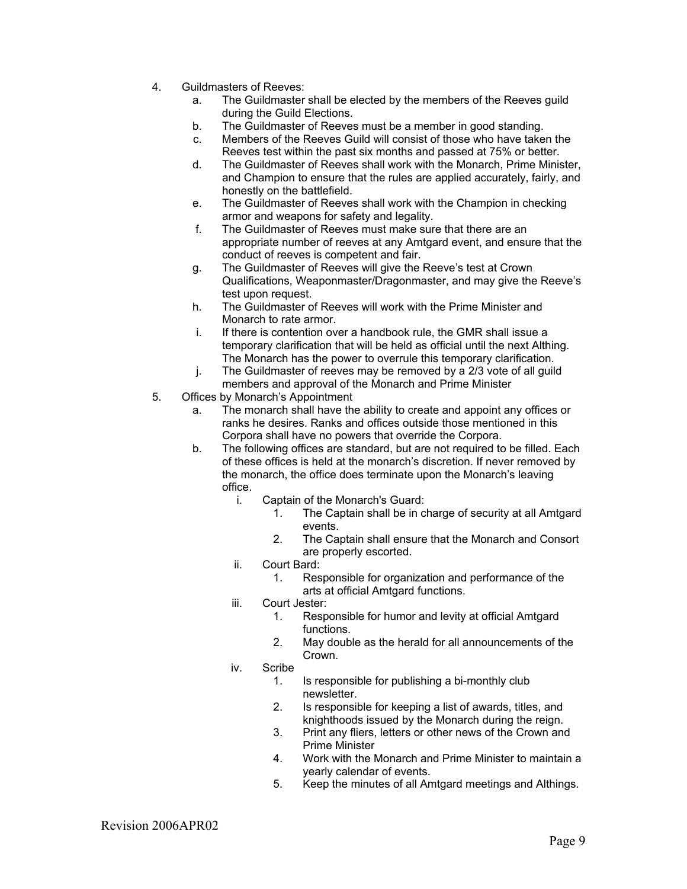- 4. Guildmasters of Reeves:
	- a. The Guildmaster shall be elected by the members of the Reeves guild during the Guild Elections.
	- b. The Guildmaster of Reeves must be a member in good standing.
	- c. Members of the Reeves Guild will consist of those who have taken the Reeves test within the past six months and passed at 75% or better.
	- d. The Guildmaster of Reeves shall work with the Monarch, Prime Minister, and Champion to ensure that the rules are applied accurately, fairly, and honestly on the battlefield.
	- e. The Guildmaster of Reeves shall work with the Champion in checking armor and weapons for safety and legality.
	- f. The Guildmaster of Reeves must make sure that there are an appropriate number of reeves at any Amtgard event, and ensure that the conduct of reeves is competent and fair.
	- g. The Guildmaster of Reeves will give the Reeve's test at Crown Qualifications, Weaponmaster/Dragonmaster, and may give the Reeve's test upon request.
	- h. The Guildmaster of Reeves will work with the Prime Minister and Monarch to rate armor.
	- i. If there is contention over a handbook rule, the GMR shall issue a temporary clarification that will be held as official until the next Althing. The Monarch has the power to overrule this temporary clarification.
	- j. The Guildmaster of reeves may be removed by a 2/3 vote of all guild members and approval of the Monarch and Prime Minister
- 5. Offices by Monarch's Appointment
	- a. The monarch shall have the ability to create and appoint any offices or ranks he desires. Ranks and offices outside those mentioned in this Corpora shall have no powers that override the Corpora.
	- b. The following offices are standard, but are not required to be filled. Each of these offices is held at the monarch's discretion. If never removed by the monarch, the office does terminate upon the Monarch's leaving office.
		- i. Captain of the Monarch's Guard:
			- 1. The Captain shall be in charge of security at all Amtgard events.
			- 2. The Captain shall ensure that the Monarch and Consort are properly escorted.
		- ii. Court Bard:
			- 1. Responsible for organization and performance of the arts at official Amtgard functions.
		- iii. Court Jester:
			- 1. Responsible for humor and levity at official Amtgard functions.
			- 2. May double as the herald for all announcements of the Crown.
		- iv. Scribe
			- 1. Is responsible for publishing a bi-monthly club newsletter.
			- 2. Is responsible for keeping a list of awards, titles, and knighthoods issued by the Monarch during the reign.
			- 3. Print any fliers, letters or other news of the Crown and Prime Minister
			- 4. Work with the Monarch and Prime Minister to maintain a yearly calendar of events.
			- 5. Keep the minutes of all Amtgard meetings and Althings.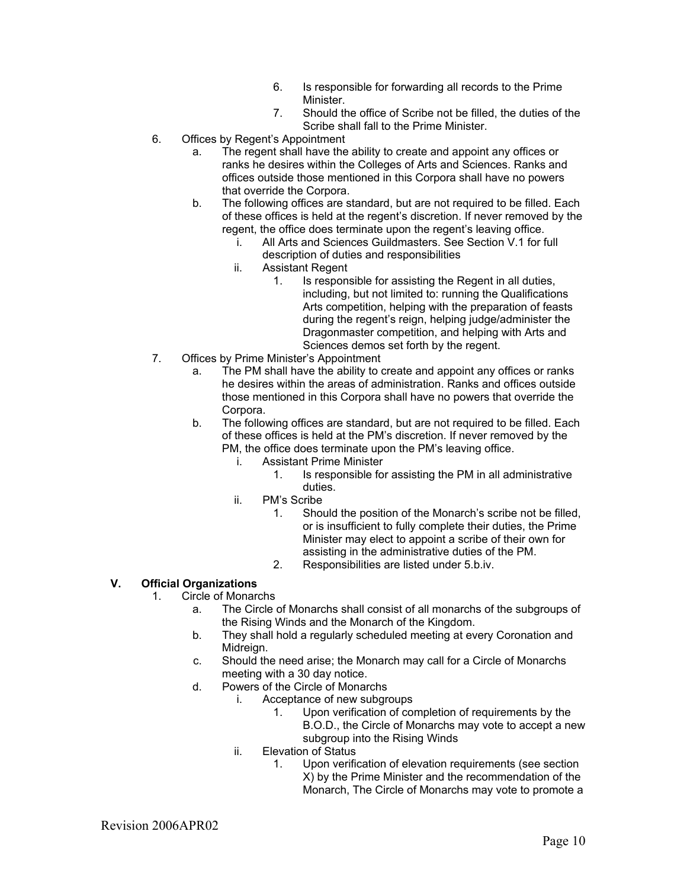- 6. Is responsible for forwarding all records to the Prime Minister.
- 7. Should the office of Scribe not be filled, the duties of the Scribe shall fall to the Prime Minister.
- 6. Offices by Regent's Appointment
	- a. The regent shall have the ability to create and appoint any offices or ranks he desires within the Colleges of Arts and Sciences. Ranks and offices outside those mentioned in this Corpora shall have no powers that override the Corpora.
	- b. The following offices are standard, but are not required to be filled. Each of these offices is held at the regent's discretion. If never removed by the regent, the office does terminate upon the regent's leaving office.
		- i. All Arts and Sciences Guildmasters. See Section V.1 for full description of duties and responsibilities
		- ii. Assistant Regent
			- 1. Is responsible for assisting the Regent in all duties, including, but not limited to: running the Qualifications Arts competition, helping with the preparation of feasts during the regent's reign, helping judge/administer the Dragonmaster competition, and helping with Arts and Sciences demos set forth by the regent.
- 7. Offices by Prime Minister's Appointment
	- a. The PM shall have the ability to create and appoint any offices or ranks he desires within the areas of administration. Ranks and offices outside those mentioned in this Corpora shall have no powers that override the Corpora.
	- b. The following offices are standard, but are not required to be filled. Each of these offices is held at the PM's discretion. If never removed by the PM, the office does terminate upon the PM's leaving office.
		- i. Assistant Prime Minister
			- 1. Is responsible for assisting the PM in all administrative duties.
		- ii. PM's Scribe
			- 1. Should the position of the Monarch's scribe not be filled, or is insufficient to fully complete their duties, the Prime Minister may elect to appoint a scribe of their own for assisting in the administrative duties of the PM.
			- 2. Responsibilities are listed under 5.b.iv.

# **V. Official Organizations**

- 1. Circle of Monarchs
	- a. The Circle of Monarchs shall consist of all monarchs of the subgroups of the Rising Winds and the Monarch of the Kingdom.
	- b. They shall hold a regularly scheduled meeting at every Coronation and Midreign.
	- c. Should the need arise; the Monarch may call for a Circle of Monarchs meeting with a 30 day notice.
	- d. Powers of the Circle of Monarchs
		- i. Acceptance of new subgroups
			- 1. Upon verification of completion of requirements by the B.O.D., the Circle of Monarchs may vote to accept a new subgroup into the Rising Winds
		- ii. Elevation of Status
			- 1. Upon verification of elevation requirements (see section X) by the Prime Minister and the recommendation of the Monarch, The Circle of Monarchs may vote to promote a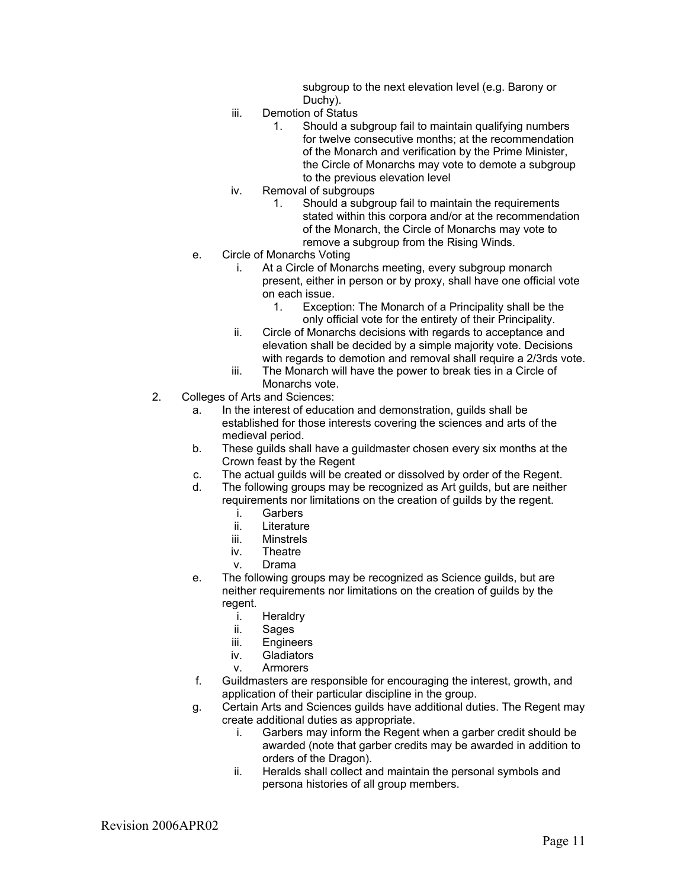subgroup to the next elevation level (e.g. Barony or Duchy).

- iii. Demotion of Status
	- 1. Should a subgroup fail to maintain qualifying numbers for twelve consecutive months; at the recommendation of the Monarch and verification by the Prime Minister, the Circle of Monarchs may vote to demote a subgroup to the previous elevation level
- iv. Removal of subgroups
	- 1. Should a subgroup fail to maintain the requirements stated within this corpora and/or at the recommendation of the Monarch, the Circle of Monarchs may vote to remove a subgroup from the Rising Winds.
- e. Circle of Monarchs Voting
	- i. At a Circle of Monarchs meeting, every subgroup monarch present, either in person or by proxy, shall have one official vote on each issue.
		- 1. Exception: The Monarch of a Principality shall be the only official vote for the entirety of their Principality.
	- ii. Circle of Monarchs decisions with regards to acceptance and elevation shall be decided by a simple majority vote. Decisions with regards to demotion and removal shall require a 2/3rds vote.
	- iii. The Monarch will have the power to break ties in a Circle of Monarchs vote.
- 2. Colleges of Arts and Sciences:
	- a. In the interest of education and demonstration, guilds shall be established for those interests covering the sciences and arts of the medieval period.
	- b. These guilds shall have a guildmaster chosen every six months at the Crown feast by the Regent
	- c. The actual guilds will be created or dissolved by order of the Regent.
	- d. The following groups may be recognized as Art guilds, but are neither requirements nor limitations on the creation of guilds by the regent.
		- i. Garbers
		- ii. Literature
		- iii. Minstrels
		- iv. Theatre
		- v. Drama
	- e. The following groups may be recognized as Science guilds, but are neither requirements nor limitations on the creation of guilds by the regent.
		- i. Heraldry<br>ii. Sages
		- Sages
		- iii. Engineers
		- iv. Gladiators
		- v. Armorers
	- f. Guildmasters are responsible for encouraging the interest, growth, and application of their particular discipline in the group.
	- g. Certain Arts and Sciences guilds have additional duties. The Regent may create additional duties as appropriate.
		- i. Garbers may inform the Regent when a garber credit should be awarded (note that garber credits may be awarded in addition to orders of the Dragon).
		- ii. Heralds shall collect and maintain the personal symbols and persona histories of all group members.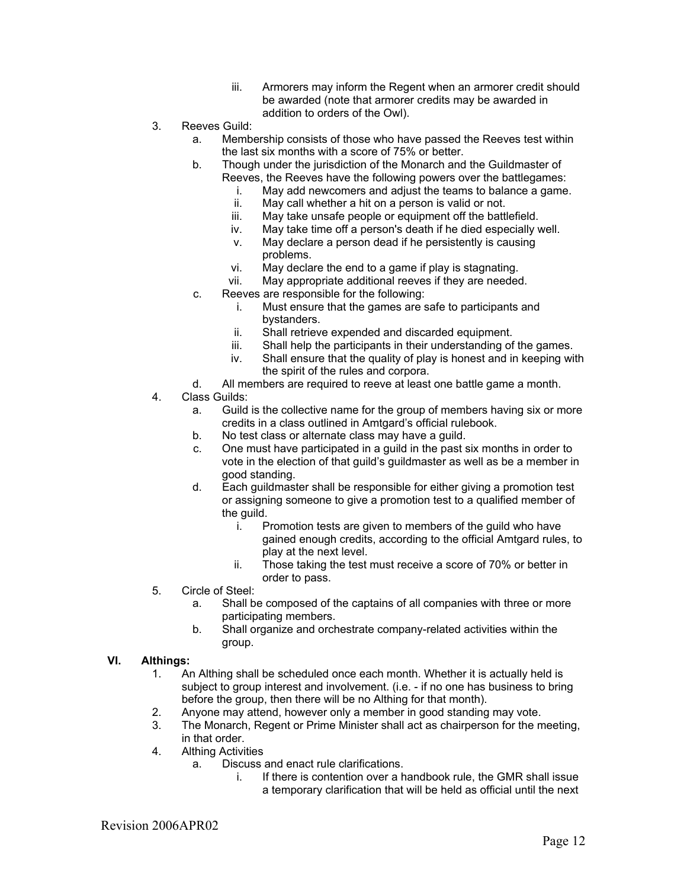- iii. Armorers may inform the Regent when an armorer credit should be awarded (note that armorer credits may be awarded in addition to orders of the Owl).
- 3. Reeves Guild:
	- a. Membership consists of those who have passed the Reeves test within the last six months with a score of 75% or better.
	- b. Though under the jurisdiction of the Monarch and the Guildmaster of Reeves, the Reeves have the following powers over the battlegames:
		- i. May add newcomers and adjust the teams to balance a game.<br>ii. May call whether a hit on a person is valid or not.
		- May call whether a hit on a person is valid or not.
		- iii. May take unsafe people or equipment off the battlefield.
		- iv. May take time off a person's death if he died especially well.
		- v. May declare a person dead if he persistently is causing problems.
		- vi. May declare the end to a game if play is stagnating.
		- vii. May appropriate additional reeves if they are needed.
	- c. Reeves are responsible for the following:
		- i. Must ensure that the games are safe to participants and bystanders.
		- ii. Shall retrieve expended and discarded equipment.
		- iii. Shall help the participants in their understanding of the games.
		- iv. Shall ensure that the quality of play is honest and in keeping with the spirit of the rules and corpora.
	- d. All members are required to reeve at least one battle game a month.
- 4. Class Guilds:
	- a. Guild is the collective name for the group of members having six or more credits in a class outlined in Amtgard's official rulebook.
	- b. No test class or alternate class may have a guild.
	- c. One must have participated in a guild in the past six months in order to vote in the election of that guild's guildmaster as well as be a member in good standing.
	- d. Each guildmaster shall be responsible for either giving a promotion test or assigning someone to give a promotion test to a qualified member of the guild.
		- i. Promotion tests are given to members of the guild who have gained enough credits, according to the official Amtgard rules, to play at the next level.
		- ii. Those taking the test must receive a score of 70% or better in order to pass.
- 5. Circle of Steel:
	- a. Shall be composed of the captains of all companies with three or more participating members.
	- b. Shall organize and orchestrate company-related activities within the group.

#### **VI. Althings:**

- 1. An Althing shall be scheduled once each month. Whether it is actually held is subject to group interest and involvement. (i.e. - if no one has business to bring before the group, then there will be no Althing for that month).
- 2. Anyone may attend, however only a member in good standing may vote.
- 3. The Monarch, Regent or Prime Minister shall act as chairperson for the meeting, in that order.
- 4. Althing Activities
	- a. Discuss and enact rule clarifications.
		- i. If there is contention over a handbook rule, the GMR shall issue a temporary clarification that will be held as official until the next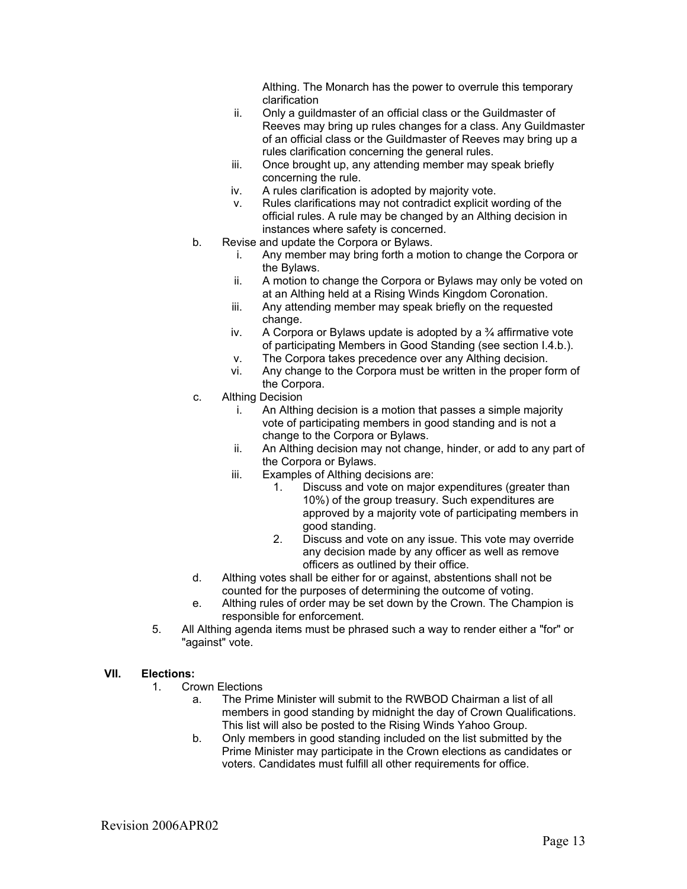Althing. The Monarch has the power to overrule this temporary clarification

- ii. Only a guildmaster of an official class or the Guildmaster of Reeves may bring up rules changes for a class. Any Guildmaster of an official class or the Guildmaster of Reeves may bring up a rules clarification concerning the general rules.
- iii. Once brought up, any attending member may speak briefly concerning the rule.
- iv. A rules clarification is adopted by majority vote.
- v. Rules clarifications may not contradict explicit wording of the official rules. A rule may be changed by an Althing decision in instances where safety is concerned.
- b. Revise and update the Corpora or Bylaws.
	- i. Any member may bring forth a motion to change the Corpora or the Bylaws.
	- ii. A motion to change the Corpora or Bylaws may only be voted on at an Althing held at a Rising Winds Kingdom Coronation.
	- iii. Any attending member may speak briefly on the requested change.
	- iv. A Corpora or Bylaws update is adopted by a  $\frac{3}{4}$  affirmative vote of participating Members in Good Standing (see section I.4.b.).
	- v. The Corpora takes precedence over any Althing decision.
	- vi. Any change to the Corpora must be written in the proper form of the Corpora.
- c. Althing Decision
	- i. An Althing decision is a motion that passes a simple majority vote of participating members in good standing and is not a change to the Corpora or Bylaws.
	- ii. An Althing decision may not change, hinder, or add to any part of the Corpora or Bylaws.
	- iii. Examples of Althing decisions are:
		- 1. Discuss and vote on major expenditures (greater than 10%) of the group treasury. Such expenditures are approved by a majority vote of participating members in good standing.
		- 2. Discuss and vote on any issue. This vote may override any decision made by any officer as well as remove officers as outlined by their office.
- d. Althing votes shall be either for or against, abstentions shall not be counted for the purposes of determining the outcome of voting.
- e. Althing rules of order may be set down by the Crown. The Champion is responsible for enforcement.
- 5. All Althing agenda items must be phrased such a way to render either a "for" or "against" vote.

## **VII. Elections:**

- 1. Crown Elections
	- a. The Prime Minister will submit to the RWBOD Chairman a list of all members in good standing by midnight the day of Crown Qualifications. This list will also be posted to the Rising Winds Yahoo Group.
	- b. Only members in good standing included on the list submitted by the Prime Minister may participate in the Crown elections as candidates or voters. Candidates must fulfill all other requirements for office.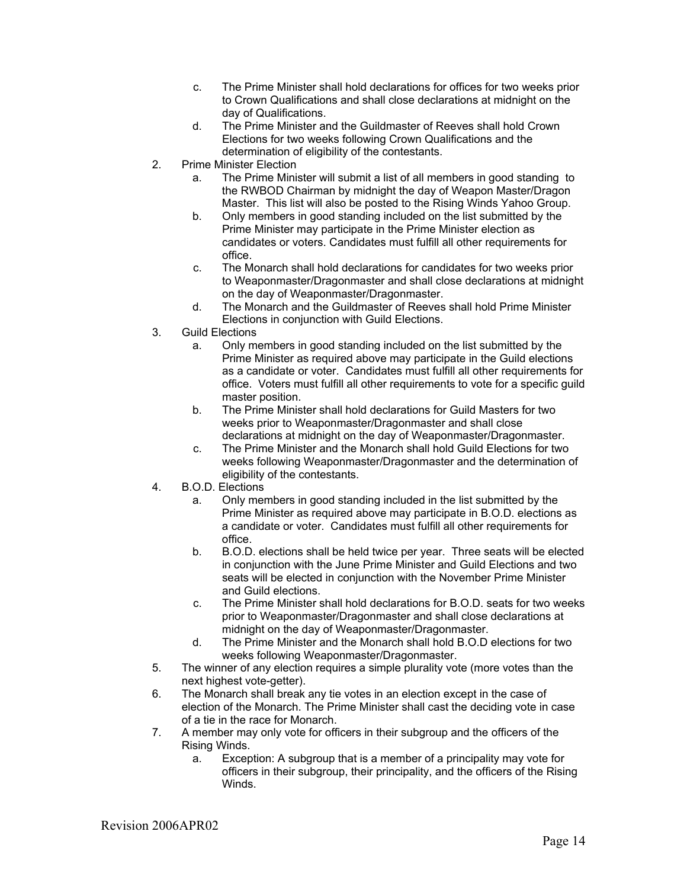- c. The Prime Minister shall hold declarations for offices for two weeks prior to Crown Qualifications and shall close declarations at midnight on the day of Qualifications.
- d. The Prime Minister and the Guildmaster of Reeves shall hold Crown Elections for two weeks following Crown Qualifications and the determination of eligibility of the contestants.
- 2. Prime Minister Election
	- a. The Prime Minister will submit a list of all members in good standing to the RWBOD Chairman by midnight the day of Weapon Master/Dragon Master. This list will also be posted to the Rising Winds Yahoo Group.
	- b. Only members in good standing included on the list submitted by the Prime Minister may participate in the Prime Minister election as candidates or voters. Candidates must fulfill all other requirements for office.
	- c. The Monarch shall hold declarations for candidates for two weeks prior to Weaponmaster/Dragonmaster and shall close declarations at midnight on the day of Weaponmaster/Dragonmaster.
	- d. The Monarch and the Guildmaster of Reeves shall hold Prime Minister Elections in conjunction with Guild Elections.
- 3. Guild Elections
	- a. Only members in good standing included on the list submitted by the Prime Minister as required above may participate in the Guild elections as a candidate or voter. Candidates must fulfill all other requirements for office. Voters must fulfill all other requirements to vote for a specific guild master position.
	- b. The Prime Minister shall hold declarations for Guild Masters for two weeks prior to Weaponmaster/Dragonmaster and shall close declarations at midnight on the day of Weaponmaster/Dragonmaster.
	- c. The Prime Minister and the Monarch shall hold Guild Elections for two weeks following Weaponmaster/Dragonmaster and the determination of eligibility of the contestants.
- 4. B.O.D. Elections
	- a. Only members in good standing included in the list submitted by the Prime Minister as required above may participate in B.O.D. elections as a candidate or voter. Candidates must fulfill all other requirements for office.
	- b. B.O.D. elections shall be held twice per year. Three seats will be elected in conjunction with the June Prime Minister and Guild Elections and two seats will be elected in conjunction with the November Prime Minister and Guild elections.
	- c. The Prime Minister shall hold declarations for B.O.D. seats for two weeks prior to Weaponmaster/Dragonmaster and shall close declarations at midnight on the day of Weaponmaster/Dragonmaster.
	- d. The Prime Minister and the Monarch shall hold B.O.D elections for two weeks following Weaponmaster/Dragonmaster.
- 5. The winner of any election requires a simple plurality vote (more votes than the next highest vote-getter).
- 6. The Monarch shall break any tie votes in an election except in the case of election of the Monarch. The Prime Minister shall cast the deciding vote in case of a tie in the race for Monarch.
- 7. A member may only vote for officers in their subgroup and the officers of the Rising Winds.
	- a. Exception: A subgroup that is a member of a principality may vote for officers in their subgroup, their principality, and the officers of the Rising Winds.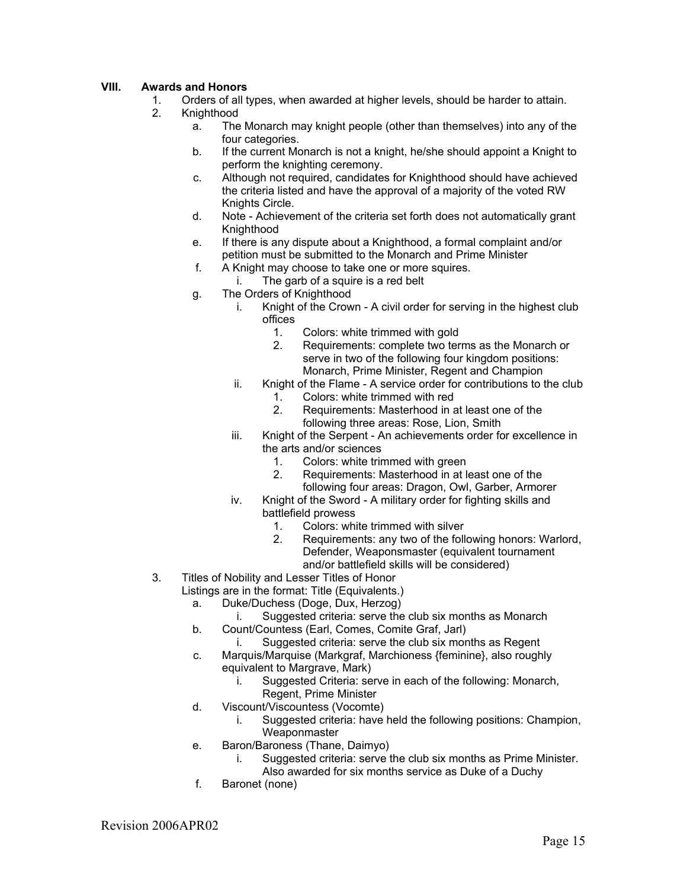# **VIII. Awards and Honors**

- 1. Orders of all types, when awarded at higher levels, should be harder to attain.
- 2. Knighthood
	- a. The Monarch may knight people (other than themselves) into any of the four categories.
	- b. If the current Monarch is not a knight, he/she should appoint a Knight to perform the knighting ceremony.
	- c. Although not required, candidates for Knighthood should have achieved the criteria listed and have the approval of a majority of the voted RW Knights Circle.
	- d. Note Achievement of the criteria set forth does not automatically grant **Knighthood**
	- e. If there is any dispute about a Knighthood, a formal complaint and/or petition must be submitted to the Monarch and Prime Minister
	- f. A Knight may choose to take one or more squires.
		- i. The garb of a squire is a red belt
	- g. The Orders of Knighthood
		- i. Knight of the Crown A civil order for serving in the highest club offices
			- 1. Colors: white trimmed with gold<br>2. Requirements: complete two ter
			- Requirements: complete two terms as the Monarch or serve in two of the following four kingdom positions: Monarch, Prime Minister, Regent and Champion
		- ii. Knight of the Flame A service order for contributions to the club
			- 1. Colors: white trimmed with red
			- 2. Requirements: Masterhood in at least one of the following three areas: Rose, Lion, Smith
		- iii. Knight of the Serpent An achievements order for excellence in the arts and/or sciences
			- 1. Colors: white trimmed with green
			- 2. Requirements: Masterhood in at least one of the following four areas: Dragon, Owl, Garber, Armorer
		- iv. Knight of the Sword A military order for fighting skills and battlefield prowess
			- 1. Colors: white trimmed with silver
			- 2. Requirements: any two of the following honors: Warlord, Defender, Weaponsmaster (equivalent tournament and/or battlefield skills will be considered)
- 3. Titles of Nobility and Lesser Titles of Honor
	- Listings are in the format: Title (Equivalents.)
		- a. Duke/Duchess (Doge, Dux, Herzog)
			- i. Suggested criteria: serve the club six months as Monarch
		- b. Count/Countess (Earl, Comes, Comite Graf, Jarl)
			- i. Suggested criteria: serve the club six months as Regent
		- c. Marquis/Marquise (Markgraf, Marchioness {feminine}, also roughly equivalent to Margrave, Mark)
			- i. Suggested Criteria: serve in each of the following: Monarch, Regent, Prime Minister
		- d. Viscount/Viscountess (Vocomte)
			- i. Suggested criteria: have held the following positions: Champion, **Weaponmaster**
		- e. Baron/Baroness (Thane, Daimyo)
			- i. Suggested criteria: serve the club six months as Prime Minister. Also awarded for six months service as Duke of a Duchy
		- f. Baronet (none)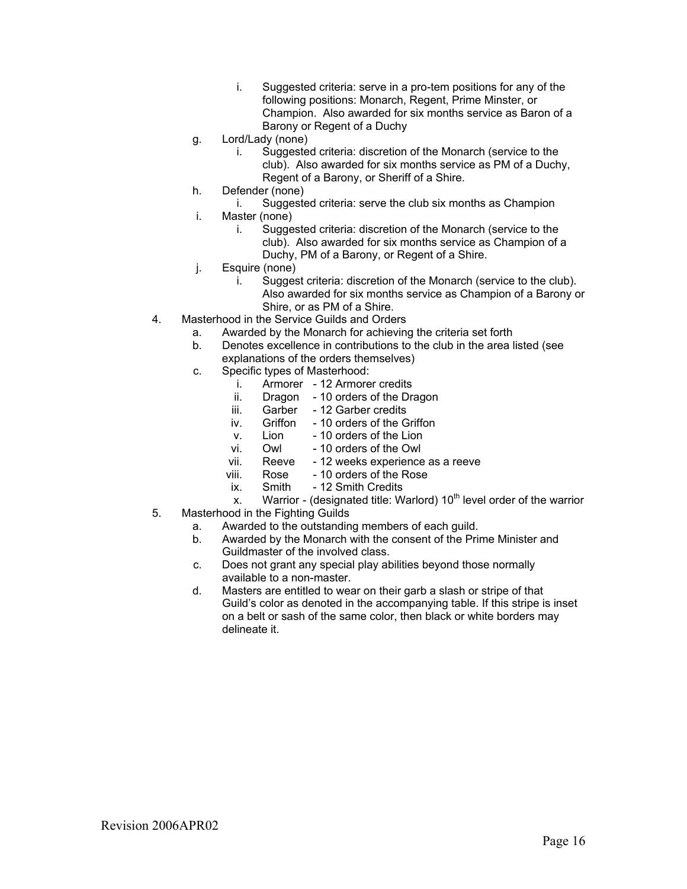- i. Suggested criteria: serve in a pro-tem positions for any of the following positions: Monarch, Regent, Prime Minster, or Champion. Also awarded for six months service as Baron of a Barony or Regent of a Duchy
- g. Lord/Lady (none)
	- i. Suggested criteria: discretion of the Monarch (service to the club). Also awarded for six months service as PM of a Duchy, Regent of a Barony, or Sheriff of a Shire.
- h. Defender (none)
	- i. Suggested criteria: serve the club six months as Champion
- i. Master (none)
	- i. Suggested criteria: discretion of the Monarch (service to the club). Also awarded for six months service as Champion of a Duchy, PM of a Barony, or Regent of a Shire.
- j. Esquire (none)
	- i. Suggest criteria: discretion of the Monarch (service to the club). Also awarded for six months service as Champion of a Barony or Shire, or as PM of a Shire.
- 4. Masterhood in the Service Guilds and Orders
	- a. Awarded by the Monarch for achieving the criteria set forth
	- b. Denotes excellence in contributions to the club in the area listed (see explanations of the orders themselves)
	- c. Specific types of Masterhood:
		- i. Armorer 12 Armorer credits
		- ii. Dragon 10 orders of the Dragon
		- iii. Garber 12 Garber credits
		- iv. Griffon 10 orders of the Griffon
		- v. Lion 10 orders of the Lion
		- vi. Owl 10 orders of the Owl
		- vii. Reeve 12 weeks experience as a reeve
		- viii. Rose 10 orders of the Rose
		- ix. Smith 12 Smith Credits
		- x. Warrior (designated title: Warlord)  $10<sup>th</sup>$  level order of the warrior
- 5. Masterhood in the Fighting Guilds
	- a. Awarded to the outstanding members of each guild.
	- b. Awarded by the Monarch with the consent of the Prime Minister and Guildmaster of the involved class.
	- c. Does not grant any special play abilities beyond those normally available to a non-master.
	- d. Masters are entitled to wear on their garb a slash or stripe of that Guild's color as denoted in the accompanying table. If this stripe is inset on a belt or sash of the same color, then black or white borders may delineate it.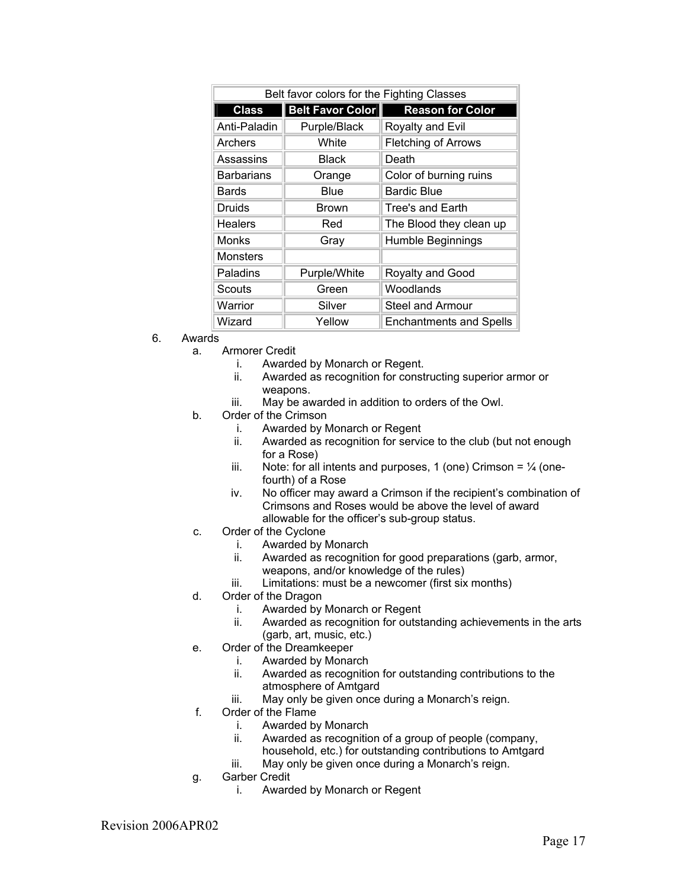| Belt favor colors for the Fighting Classes |                         |                                |  |  |
|--------------------------------------------|-------------------------|--------------------------------|--|--|
| <b>Class</b>                               | <b>Belt Favor Color</b> | <b>Reason for Color</b>        |  |  |
| Anti-Paladin                               | Purple/Black            | Royalty and Evil               |  |  |
| Archers                                    | White                   | <b>Fletching of Arrows</b>     |  |  |
| Assassins                                  | Black                   | Death                          |  |  |
| <b>Barbarians</b>                          | Orange                  | Color of burning ruins         |  |  |
| Bards                                      | Blue                    | <b>Bardic Blue</b>             |  |  |
| Druids                                     | <b>Brown</b>            | Tree's and Earth               |  |  |
| Healers                                    | Red                     | The Blood they clean up        |  |  |
| Monks                                      | Gray                    | Humble Beginnings              |  |  |
| <b>Monsters</b>                            |                         |                                |  |  |
| Paladins                                   | Purple/White            | Royalty and Good               |  |  |
| Scouts                                     | Green                   | Woodlands                      |  |  |
| Warrior                                    | Silver                  | <b>Steel and Armour</b>        |  |  |
| Wizard                                     | Yellow                  | <b>Enchantments and Spells</b> |  |  |

- 6. Awards
	- a. Armorer Credit
		- i. Awarded by Monarch or Regent.
			- ii. Awarded as recognition for constructing superior armor or weapons.
			- iii. May be awarded in addition to orders of the Owl.
	- b. Order of the Crimson
		- i. Awarded by Monarch or Regent
		- ii. Awarded as recognition for service to the club (but not enough for a Rose)
		- iii. Note: for all intents and purposes, 1 (one) Crimson =  $\frac{1}{4}$  (onefourth) of a Rose
		- iv. No officer may award a Crimson if the recipient's combination of Crimsons and Roses would be above the level of award allowable for the officer's sub-group status.
	- c. Order of the Cyclone
		- i. Awarded by Monarch
		- ii. Awarded as recognition for good preparations (garb, armor, weapons, and/or knowledge of the rules)
		- iii. Limitations: must be a newcomer (first six months)
	- d. Order of the Dragon
		- i. Awarded by Monarch or Regent
		- ii. Awarded as recognition for outstanding achievements in the arts (garb, art, music, etc.)
	- e. Order of the Dreamkeeper
		- i. Awarded by Monarch
			- ii. Awarded as recognition for outstanding contributions to the atmosphere of Amtgard
		- iii. May only be given once during a Monarch's reign.
	- f. Order of the Flame
		- i. Awarded by Monarch
		- ii. Awarded as recognition of a group of people (company,
		- household, etc.) for outstanding contributions to Amtgard iii. May only be given once during a Monarch's reign.
	- g. Garber Credit
		- i. Awarded by Monarch or Regent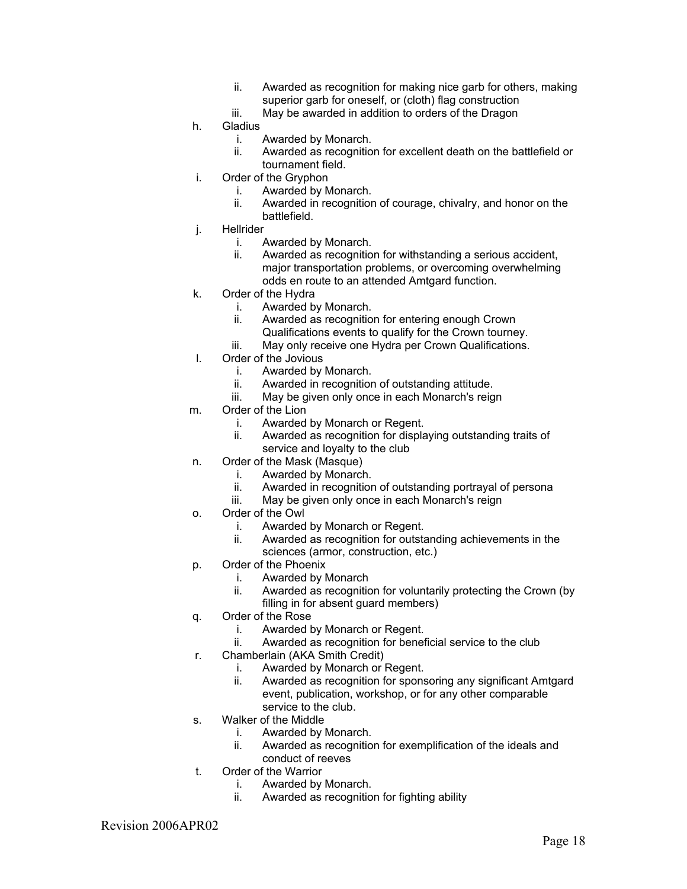- ii. Awarded as recognition for making nice garb for others, making superior garb for oneself, or (cloth) flag construction
- iii. May be awarded in addition to orders of the Dragon
- h. Gladius
	- i. Awarded by Monarch.
	- ii. Awarded as recognition for excellent death on the battlefield or tournament field.
- i. Order of the Gryphon
	- i. Awarded by Monarch.
	- ii. Awarded in recognition of courage, chivalry, and honor on the battlefield.
- j. Hellrider
	- i. Awarded by Monarch.
	- ii. Awarded as recognition for withstanding a serious accident, major transportation problems, or overcoming overwhelming odds en route to an attended Amtgard function.
- k. Order of the Hydra
	- i. Awarded by Monarch.
	- ii. Awarded as recognition for entering enough Crown
	- Qualifications events to qualify for the Crown tourney. iii. May only receive one Hydra per Crown Qualifications.
- l. Order of the Jovious
	- i. Awarded by Monarch.
	- ii. Awarded in recognition of outstanding attitude.
	- iii. May be given only once in each Monarch's reign
- m. Order of the Lion
	- i. Awarded by Monarch or Regent.
	- ii. Awarded as recognition for displaying outstanding traits of service and loyalty to the club
- n. Order of the Mask (Masque)
	- i. Awarded by Monarch.
	- ii. Awarded in recognition of outstanding portrayal of persona
	- iii. May be given only once in each Monarch's reign
- o. Order of the Owl
	- i. Awarded by Monarch or Regent.
	- ii. Awarded as recognition for outstanding achievements in the sciences (armor, construction, etc.)
- p. Order of the Phoenix
	- i. Awarded by Monarch
	- ii. Awarded as recognition for voluntarily protecting the Crown (by filling in for absent guard members)
- q. Order of the Rose
	- i. Awarded by Monarch or Regent.
	- ii. Awarded as recognition for beneficial service to the club
- r. Chamberlain (AKA Smith Credit)
	- i. Awarded by Monarch or Regent.
	- ii. Awarded as recognition for sponsoring any significant Amtgard event, publication, workshop, or for any other comparable service to the club.
- s. Walker of the Middle
	- i. Awarded by Monarch.
	- ii. Awarded as recognition for exemplification of the ideals and conduct of reeves
- t. Order of the Warrior
	- i. Awarded by Monarch.
	- ii. Awarded as recognition for fighting ability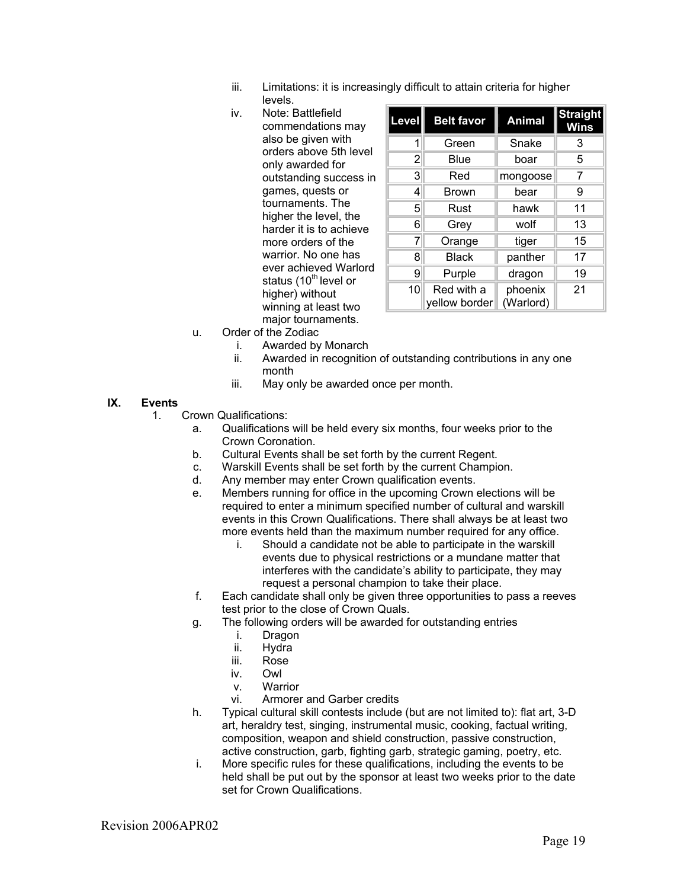- iii. Limitations: it is increasingly difficult to attain criteria for higher levels.
- iv. Note: Battlefield commendations may also be given with orders above 5th level only awarded for outstanding success in games, quests or tournaments. The higher the level, the harder it is to achieve more orders of the warrior. No one has ever achieved Warlord status  $(10^{th}$  level or higher) without winning at least two major tournaments.

| Level | <b>Belt favor</b>           | <b>Animal</b>        | Straight<br>Wins |
|-------|-----------------------------|----------------------|------------------|
|       | Green                       | Snake                | 3                |
| 2     | Blue                        | boar                 | 5                |
| 3     | Red                         | mongoose             | 7                |
| 4     | <b>Brown</b>                | bear                 | 9                |
| 5     | Rust                        | hawk                 | 11               |
| 6     | Grey                        | wolf                 | 13               |
| 7     | Orange                      | tiger                | 15               |
| 8     | <b>Black</b>                | panther              | 17               |
| 9     | Purple                      | dragon               | 19               |
| 10    | Red with a<br>yellow border | phoenix<br>(Warlord) | 21               |

- u. Order of the Zodiac
	- i. Awarded by Monarch
		- ii. Awarded in recognition of outstanding contributions in any one month
	- iii. May only be awarded once per month.

#### **IX. Events**

- 1. Crown Qualifications:
	- a. Qualifications will be held every six months, four weeks prior to the Crown Coronation.
	- b. Cultural Events shall be set forth by the current Regent.
	- c. Warskill Events shall be set forth by the current Champion.
	- d. Any member may enter Crown qualification events.
	- e. Members running for office in the upcoming Crown elections will be required to enter a minimum specified number of cultural and warskill events in this Crown Qualifications. There shall always be at least two more events held than the maximum number required for any office.
		- i. Should a candidate not be able to participate in the warskill events due to physical restrictions or a mundane matter that interferes with the candidate's ability to participate, they may request a personal champion to take their place.
	- f. Each candidate shall only be given three opportunities to pass a reeves test prior to the close of Crown Quals.
	- g. The following orders will be awarded for outstanding entries
		- i. Dragon<br>ii. Hvdra
		- Hydra
		- iii. Rose
		- iv. Owl
		- v. Warrior
		- vi. Armorer and Garber credits
	- h. Typical cultural skill contests include (but are not limited to): flat art, 3-D art, heraldry test, singing, instrumental music, cooking, factual writing, composition, weapon and shield construction, passive construction, active construction, garb, fighting garb, strategic gaming, poetry, etc.
	- i. More specific rules for these qualifications, including the events to be held shall be put out by the sponsor at least two weeks prior to the date set for Crown Qualifications.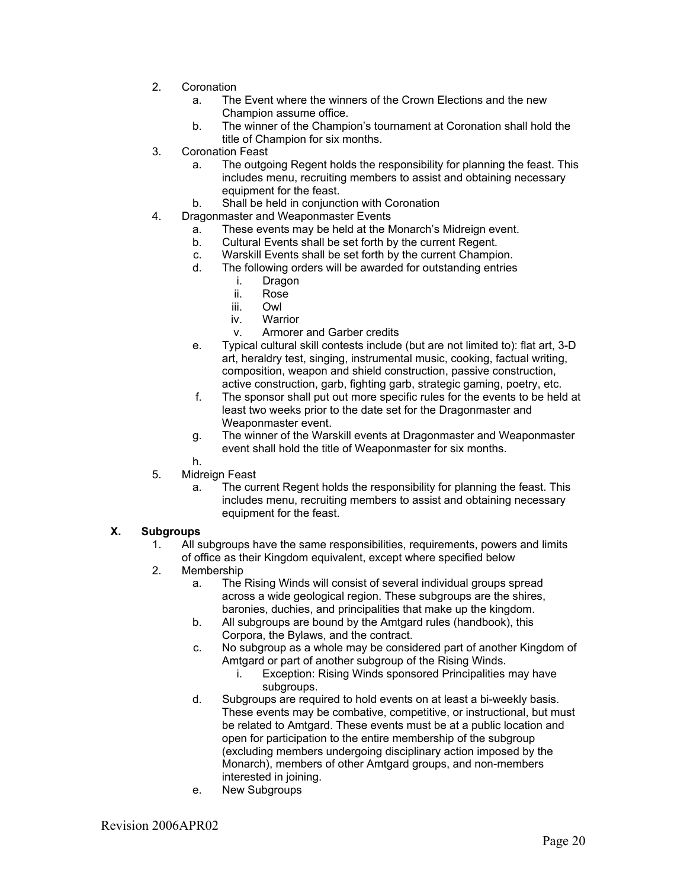- 2. Coronation
	- a. The Event where the winners of the Crown Elections and the new Champion assume office.
	- b. The winner of the Champion's tournament at Coronation shall hold the title of Champion for six months.
- 3. Coronation Feast
	- a. The outgoing Regent holds the responsibility for planning the feast. This includes menu, recruiting members to assist and obtaining necessary equipment for the feast.
	- b. Shall be held in conjunction with Coronation
- 4. Dragonmaster and Weaponmaster Events
	- a. These events may be held at the Monarch's Midreign event.
	- b. Cultural Events shall be set forth by the current Regent.
	- c. Warskill Events shall be set forth by the current Champion.
	- d. The following orders will be awarded for outstanding entries
		- i. Dragon
		- ii. Rose
		- iii. Owl
		- iv. Warrior
		- v. Armorer and Garber credits
	- e. Typical cultural skill contests include (but are not limited to): flat art, 3-D art, heraldry test, singing, instrumental music, cooking, factual writing, composition, weapon and shield construction, passive construction, active construction, garb, fighting garb, strategic gaming, poetry, etc.
	- f. The sponsor shall put out more specific rules for the events to be held at least two weeks prior to the date set for the Dragonmaster and Weaponmaster event.
	- g. The winner of the Warskill events at Dragonmaster and Weaponmaster event shall hold the title of Weaponmaster for six months.
	- h.
- 5. Midreign Feast
	- a. The current Regent holds the responsibility for planning the feast. This includes menu, recruiting members to assist and obtaining necessary equipment for the feast.

## **X. Subgroups**

- 1. All subgroups have the same responsibilities, requirements, powers and limits of office as their Kingdom equivalent, except where specified below
- 2. Membership
	- a. The Rising Winds will consist of several individual groups spread across a wide geological region. These subgroups are the shires, baronies, duchies, and principalities that make up the kingdom.
	- b. All subgroups are bound by the Amtgard rules (handbook), this Corpora, the Bylaws, and the contract.
	- c. No subgroup as a whole may be considered part of another Kingdom of Amtgard or part of another subgroup of the Rising Winds.
		- i. Exception: Rising Winds sponsored Principalities may have subgroups.
	- d. Subgroups are required to hold events on at least a bi-weekly basis. These events may be combative, competitive, or instructional, but must be related to Amtgard. These events must be at a public location and open for participation to the entire membership of the subgroup (excluding members undergoing disciplinary action imposed by the Monarch), members of other Amtgard groups, and non-members interested in joining.
	- e. New Subgroups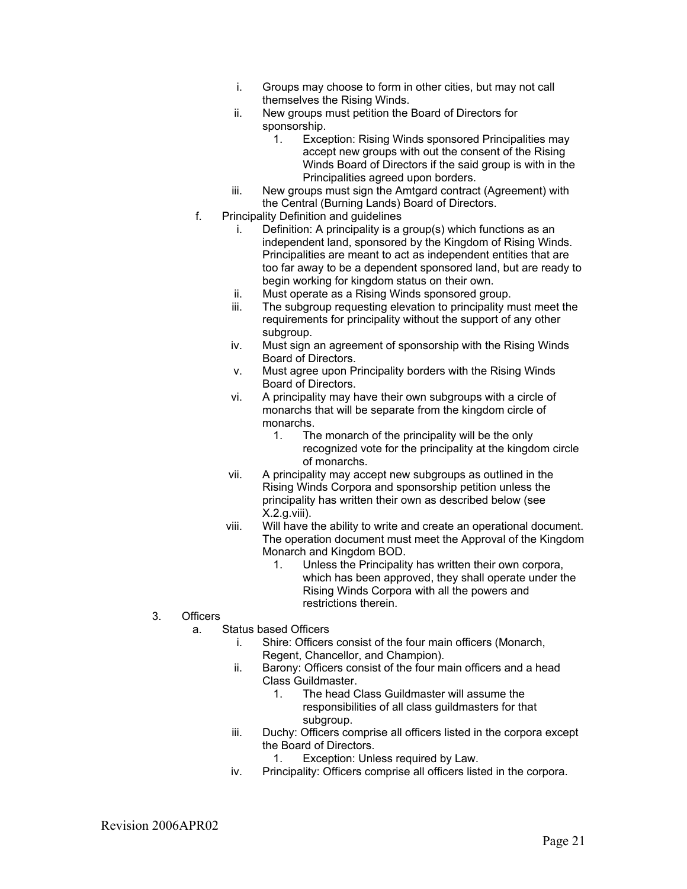- i. Groups may choose to form in other cities, but may not call themselves the Rising Winds.
- ii. New groups must petition the Board of Directors for sponsorship.
	- 1. Exception: Rising Winds sponsored Principalities may accept new groups with out the consent of the Rising Winds Board of Directors if the said group is with in the Principalities agreed upon borders.
- iii. New groups must sign the Amtgard contract (Agreement) with the Central (Burning Lands) Board of Directors.
- f. Principality Definition and guidelines
	- i. Definition: A principality is a group(s) which functions as an independent land, sponsored by the Kingdom of Rising Winds. Principalities are meant to act as independent entities that are too far away to be a dependent sponsored land, but are ready to begin working for kingdom status on their own.
	- ii. Must operate as a Rising Winds sponsored group.
	- iii. The subgroup requesting elevation to principality must meet the requirements for principality without the support of any other subgroup.
	- iv. Must sign an agreement of sponsorship with the Rising Winds Board of Directors.
	- v. Must agree upon Principality borders with the Rising Winds Board of Directors.
	- vi. A principality may have their own subgroups with a circle of monarchs that will be separate from the kingdom circle of monarchs.
		- 1. The monarch of the principality will be the only recognized vote for the principality at the kingdom circle of monarchs.
	- vii. A principality may accept new subgroups as outlined in the Rising Winds Corpora and sponsorship petition unless the principality has written their own as described below (see X.2.g.viii).
	- viii. Will have the ability to write and create an operational document. The operation document must meet the Approval of the Kingdom Monarch and Kingdom BOD.
		- 1. Unless the Principality has written their own corpora, which has been approved, they shall operate under the Rising Winds Corpora with all the powers and restrictions therein.
- 3. Officers
	- a. Status based Officers
		- i. Shire: Officers consist of the four main officers (Monarch,
			- Regent, Chancellor, and Champion).
		- ii. Barony: Officers consist of the four main officers and a head Class Guildmaster.
			- 1. The head Class Guildmaster will assume the responsibilities of all class guildmasters for that subgroup.
		- iii. Duchy: Officers comprise all officers listed in the corpora except the Board of Directors.
			- 1. Exception: Unless required by Law.
		- iv. Principality: Officers comprise all officers listed in the corpora.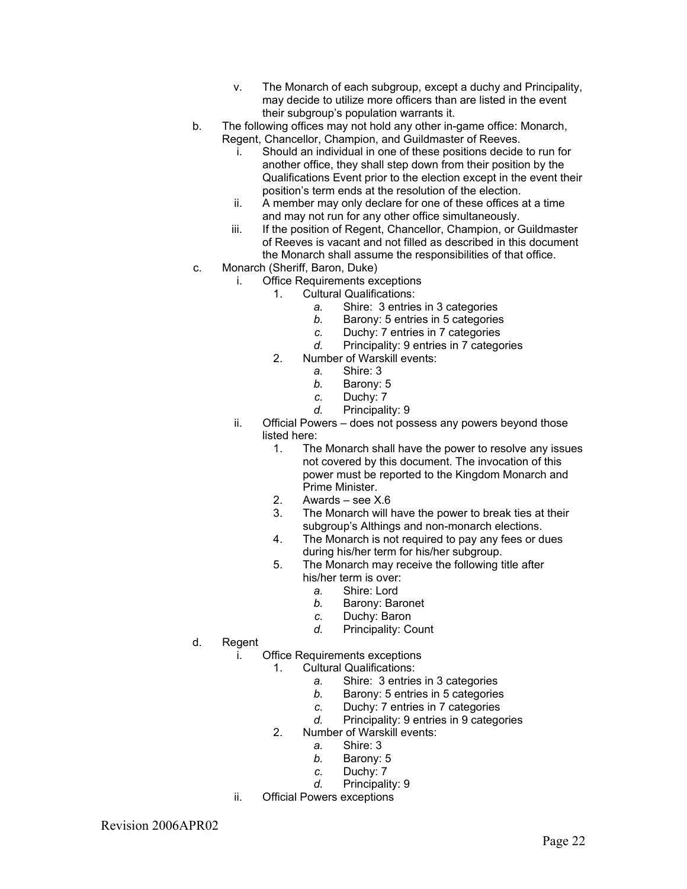- v. The Monarch of each subgroup, except a duchy and Principality, may decide to utilize more officers than are listed in the event their subgroup's population warrants it.
- b. The following offices may not hold any other in-game office: Monarch, Regent, Chancellor, Champion, and Guildmaster of Reeves.
	- i. Should an individual in one of these positions decide to run for another office, they shall step down from their position by the Qualifications Event prior to the election except in the event their position's term ends at the resolution of the election.
	- ii. A member may only declare for one of these offices at a time and may not run for any other office simultaneously.
	- iii. If the position of Regent, Chancellor, Champion, or Guildmaster of Reeves is vacant and not filled as described in this document the Monarch shall assume the responsibilities of that office.
- c. Monarch (Sheriff, Baron, Duke)
	- i. Office Requirements exceptions
		- 1. Cultural Qualifications:
			- *a.* Shire: 3 entries in 3 categories
			- *b.* Barony: 5 entries in 5 categories
			- *c.* Duchy: 7 entries in 7 categories
			- *d.* Principality: 9 entries in 7 categories
		- 2. Number of Warskill events:
			- *a.* Shire: 3
			- *b.* Barony: 5
			- *c.* Duchy: 7
			- *d.* Principality: 9
	- ii. Official Powers does not possess any powers beyond those listed here:
		- 1. The Monarch shall have the power to resolve any issues not covered by this document. The invocation of this power must be reported to the Kingdom Monarch and Prime Minister.
		- 2. Awards see X.6
		- 3. The Monarch will have the power to break ties at their subgroup's Althings and non-monarch elections.
		- 4. The Monarch is not required to pay any fees or dues during his/her term for his/her subgroup.
		- 5. The Monarch may receive the following title after his/her term is over:
			- *a.* Shire: Lord
			- *b.* Barony: Baronet
			- *c.* Duchy: Baron
			- *d.* Principality: Count
- d. Regent
	- i. Office Requirements exceptions
		- 1. Cultural Qualifications:
			- *a.* Shire: 3 entries in 3 categories
			- *b.* Barony: 5 entries in 5 categories
			- *c.* Duchy: 7 entries in 7 categories
			- *d.* Principality: 9 entries in 9 categories
		- 2. Number of Warskill events:
			- *a.* Shire: 3
			- *b.* Barony: 5
			- *c.* Duchy: 7
			- *d.* Principality: 9
	- ii. Official Powers exceptions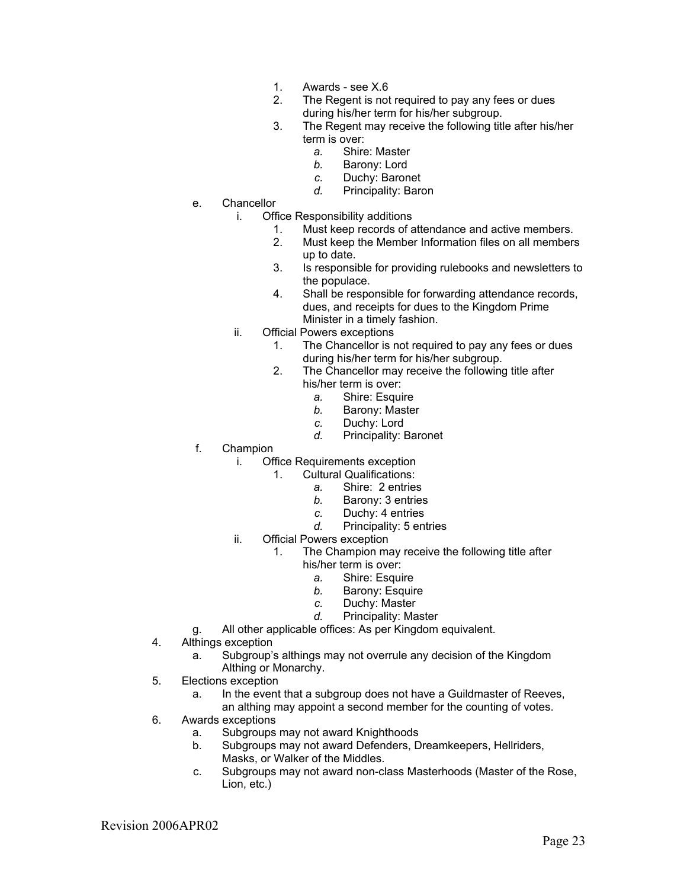- 1. Awards see X.6
- 2. The Regent is not required to pay any fees or dues during his/her term for his/her subgroup.
- 3. The Regent may receive the following title after his/her term is over:
	- *a.* Shire: Master
	- *b.* Barony: Lord
	- *c.* Duchy: Baronet
	- *d.* Principality: Baron
- e. Chancellor
	- i. Office Responsibility additions
		- 1. Must keep records of attendance and active members.<br>2. Must keep the Member Information files on all members
		- Must keep the Member Information files on all members up to date.
		- 3. Is responsible for providing rulebooks and newsletters to the populace.
		- 4. Shall be responsible for forwarding attendance records, dues, and receipts for dues to the Kingdom Prime Minister in a timely fashion.
	- ii. Official Powers exceptions
		- 1. The Chancellor is not required to pay any fees or dues during his/her term for his/her subgroup.
		- 2. The Chancellor may receive the following title after his/her term is over:
			- *a.* Shire: Esquire
			- *b.* Barony: Master
			- *c.* Duchy: Lord
			- *d.* Principality: Baronet
- f. Champion
	- i. Office Requirements exception
		- 1. Cultural Qualifications:
			- *a.* Shire: 2 entries
			- *b.* Barony: 3 entries
			- *c.* Duchy: 4 entries
			- *d.* Principality: 5 entries
	- ii. Official Powers exception
		- 1. The Champion may receive the following title after
			- his/her term is over:
				- *a.* Shire: Esquire
				- *b.* Barony: Esquire
				- *c.* Duchy: Master
				- *d.* Principality: Master
- g. All other applicable offices: As per Kingdom equivalent.
- 4. Althings exception
	- a. Subgroup's althings may not overrule any decision of the Kingdom Althing or Monarchy.
- 5. Elections exception
	- a. In the event that a subgroup does not have a Guildmaster of Reeves, an althing may appoint a second member for the counting of votes.
- 6. Awards exceptions
	- a. Subgroups may not award Knighthoods
	- b. Subgroups may not award Defenders, Dreamkeepers, Hellriders, Masks, or Walker of the Middles.
	- c. Subgroups may not award non-class Masterhoods (Master of the Rose, Lion, etc.)